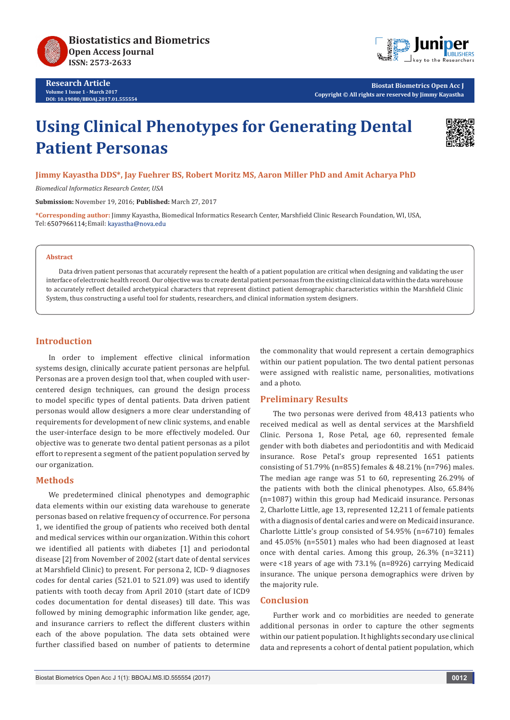

**Research Article Volume 1 Issue 1 - March 2017 DOI: [10.19080/BBOAJ.2017.01.555554](http://dx.doi.org/10.19080/BBOAJ.2017.01.555554)**



**Biostat Biometrics Open Acc J Copyright © All rights are reserved by Jimmy Kayastha**

# **Using Clinical Phenotypes for Generating Dental Patient Personas**



# **Jimmy Kayastha DDS\*, Jay Fuehrer BS, Robert Moritz MS, Aaron Miller PhD and Amit Acharya PhD**

*Biomedical Informatics Research Center, USA*

**Submission:** November 19, 2016; **Published:** March 27, 2017

**\*Corresponding author:** Jimmy Kayastha, Biomedical Informatics Research Center, Marshfield Clinic Research Foundation, WI, USA, Tel: 6507966114; Email: kayastha@nova.edu

#### **Abstract**

Data driven patient personas that accurately represent the health of a patient population are critical when designing and validating the user interface of electronic health record. Our objective was to create dental patient personas from the existing clinical data within the data warehouse to accurately reflect detailed archetypical characters that represent distinct patient demographic characteristics within the Marshfield Clinic System, thus constructing a useful tool for students, researchers, and clinical information system designers.

#### **Introduction**

In order to implement effective clinical information systems design, clinically accurate patient personas are helpful. Personas are a proven design tool that, when coupled with usercentered design techniques, can ground the design process to model specific types of dental patients. Data driven patient personas would allow designers a more clear understanding of requirements for development of new clinic systems, and enable the user-interface design to be more effectively modeled. Our objective was to generate two dental patient personas as a pilot effort to represent a segment of the patient population served by our organization.

# **Methods**

We predetermined clinical phenotypes and demographic data elements within our existing data warehouse to generate personas based on relative frequency of occurrence. For persona 1, we identified the group of patients who received both dental and medical services within our organization. Within this cohort we identified all patients with diabetes [1] and periodontal disease [2] from November of 2002 (start date of dental services at Marshfield Clinic) to present. For persona 2, ICD- 9 diagnoses codes for dental caries (521.01 to 521.09) was used to identify patients with tooth decay from April 2010 (start date of ICD9 codes documentation for dental diseases) till date. This was followed by mining demographic information like gender, age, and insurance carriers to reflect the different clusters within each of the above population. The data sets obtained were further classified based on number of patients to determine the commonality that would represent a certain demographics within our patient population. The two dental patient personas were assigned with realistic name, personalities, motivations and a photo.

# **Preliminary Results**

The two personas were derived from 48,413 patients who received medical as well as dental services at the Marshfield Clinic. Persona 1, Rose Petal, age 60, represented female gender with both diabetes and periodontitis and with Medicaid insurance. Rose Petal's group represented 1651 patients consisting of 51.79% (n=855) females & 48.21% (n=796) males. The median age range was 51 to 60, representing 26.29% of the patients with both the clinical phenotypes. Also, 65.84% (n=1087) within this group had Medicaid insurance. Personas 2, Charlotte Little, age 13, represented 12,211 of female patients with a diagnosis of dental caries and were on Medicaid insurance. Charlotte Little's group consisted of 54.95% (n=6710) females and 45.05% (n=5501) males who had been diagnosed at least once with dental caries. Among this group, 26.3% (n=3211) were <18 years of age with 73.1% (n=8926) carrying Medicaid insurance. The unique persona demographics were driven by the majority rule.

# **Conclusion**

Further work and co morbidities are needed to generate additional personas in order to capture the other segments within our patient population. It highlights secondary use clinical data and represents a cohort of dental patient population, which